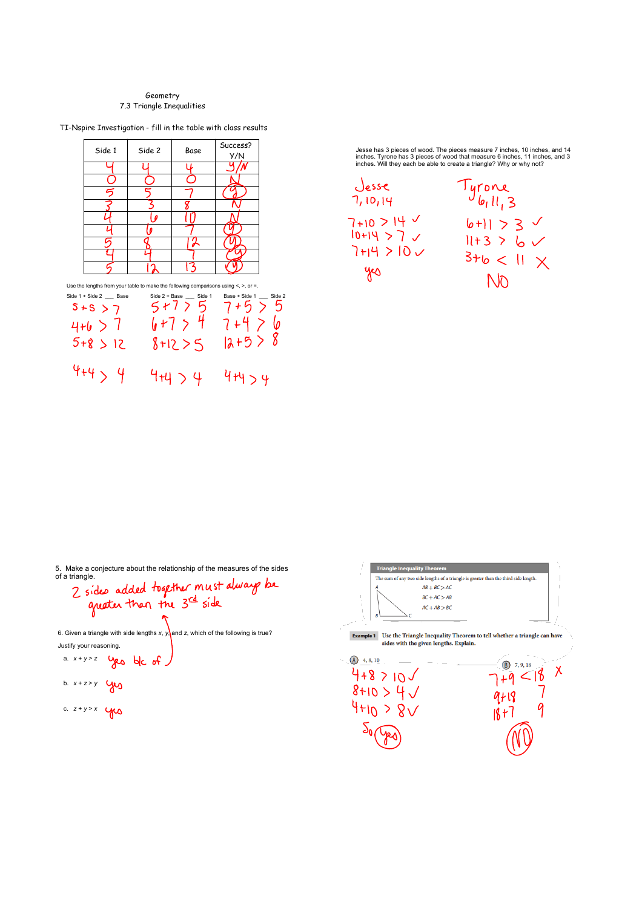## Geometry 7.3 Triangle Inequalities

TI-Nspire Investigation - fill in the table with class results



Jesse has 3 pieces of wood. The pieces measure 7 inches, 10 inches, and 14<br>inches. Tyrone has 3 pieces of wood that measure 6 inches, 11 inches, and 3<br>inches. Will they each be able to create a triangle? Why or why not?



5. Make a conjecture about the relationship of the measures of the sides

of a triangle.<br>2 sides added together must always be<br>quater than the 3rd side

6. Given a triangle with side lengths *x*,  $y$ , and *z*, which of the following is true? Justify your reasoning.

a.  $x + y > z$  yes be of

b. 
$$
x + z > y
$$

c. 
$$
z+y>x
$$

The sum of any two side lengths of a triangle is greater than the third side length  $AB + BC > AC$  $BC + AC > AB$  $AC + AB > BC$  $\textbf{Example 1} \quad$  Use the Triangle Inequality Theorem to tell whether a triangle can have sides with the given lengths. Explain.  $\binom{4, 8, 10}{ }$  $\bigcirc$  (B) 7, 9, 18  $7+9 < 18 < 1$  $4 + 8 > 10$  $8+10 > 4 \sqrt{ }$  $9 + 19$  $4H_0 > 8V$  $18+7$ 

Triangle Inequality Theorem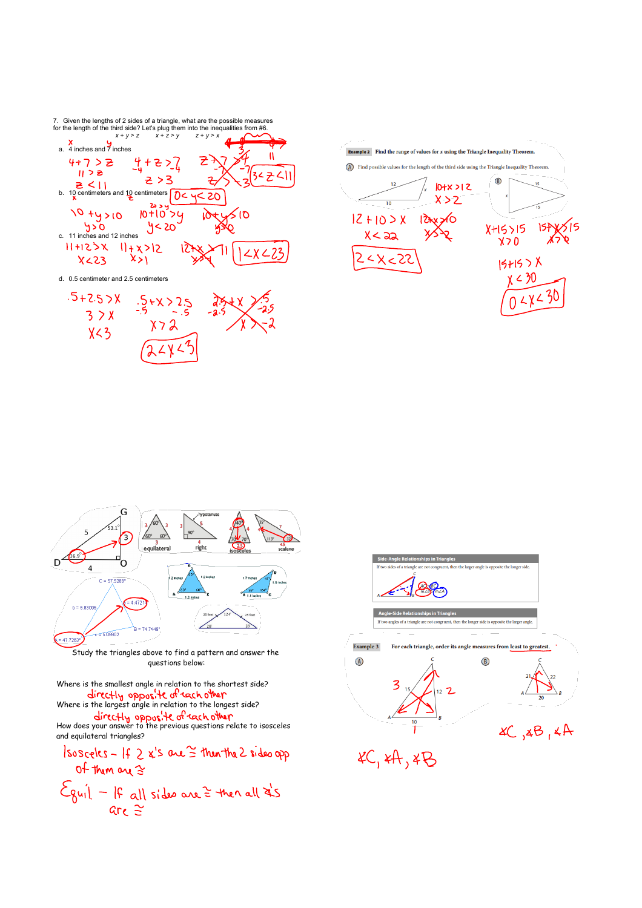7. Given the lengths of 2 sides of a triangle, what are the possible measures<br>for the length of the third side? Let's plug them into the inequalities from #6.<br>x + y > z x + z > y x + z > y 2 + y > x ...











Study the triangles above to find a pattern and answer the questions below:

Where is the smallest angle in relation to the shortest side? Where is the sinancest angle in relation to the shertest side.<br>Where is the largest angle in relation to the longest side?

How does your answer to the previous questions relate to isosceles

and equilateral triangles? $s_{\alpha s_{\alpha 0}}(s - 10.2)$   $s_{\alpha s_{\alpha 0}}^{\prime} \approx 10.2$  sides or